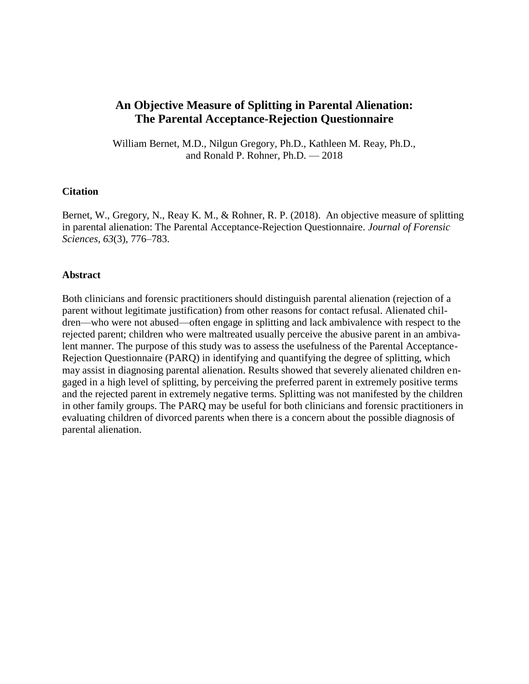# **An Objective Measure of Splitting in Parental Alienation: The Parental Acceptance-Rejection Questionnaire**

William Bernet, M.D., Nilgun Gregory, Ph.D., Kathleen M. Reay, Ph.D., and Ronald P. Rohner, Ph.D. — 2018

### **Citation**

Bernet, W., Gregory, N., Reay K. M., & Rohner, R. P. (2018). An objective measure of splitting in parental alienation: The Parental Acceptance-Rejection Questionnaire. *Journal of Forensic Sciences, 63*(3), 776–783.

#### **Abstract**

Both clinicians and forensic practitioners should distinguish parental alienation (rejection of a parent without legitimate justification) from other reasons for contact refusal. Alienated children—who were not abused—often engage in splitting and lack ambivalence with respect to the rejected parent; children who were maltreated usually perceive the abusive parent in an ambivalent manner. The purpose of this study was to assess the usefulness of the Parental Acceptance-Rejection Questionnaire (PARQ) in identifying and quantifying the degree of splitting, which may assist in diagnosing parental alienation. Results showed that severely alienated children engaged in a high level of splitting, by perceiving the preferred parent in extremely positive terms and the rejected parent in extremely negative terms. Splitting was not manifested by the children in other family groups. The PARQ may be useful for both clinicians and forensic practitioners in evaluating children of divorced parents when there is a concern about the possible diagnosis of parental alienation.